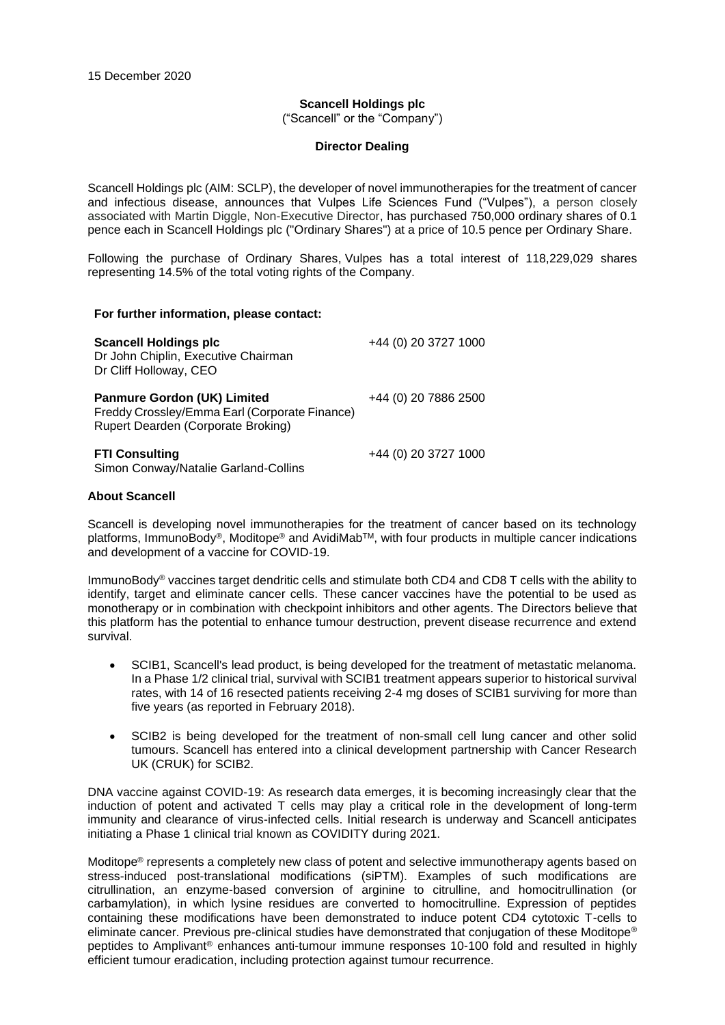# **Scancell Holdings plc**

("Scancell" or the "Company")

## **Director Dealing**

Scancell Holdings plc (AIM: SCLP), the developer of novel immunotherapies for the treatment of cancer and infectious disease, announces that Vulpes Life Sciences Fund ("Vulpes"), a person closely associated with Martin Diggle, Non-Executive Director, has purchased 750,000 ordinary shares of 0.1 pence each in Scancell Holdings plc ("Ordinary Shares") at a price of 10.5 pence per Ordinary Share.

Following the purchase of Ordinary Shares, Vulpes has a total interest of 118,229,029 shares representing 14.5% of the total voting rights of the Company.

#### **For further information, please contact:**

| <b>Scancell Holdings plc</b><br>Dr John Chiplin, Executive Chairman<br>Dr Cliff Holloway, CEO                             | +44 (0) 20 3727 1000 |
|---------------------------------------------------------------------------------------------------------------------------|----------------------|
| <b>Panmure Gordon (UK) Limited</b><br>Freddy Crossley/Emma Earl (Corporate Finance)<br>Rupert Dearden (Corporate Broking) | +44 (0) 20 7886 2500 |
| <b>FTI Consulting</b><br>Simon Conway/Natalie Garland-Collins                                                             | +44 (0) 20 3727 1000 |

#### **About Scancell**

Scancell is developing novel immunotherapies for the treatment of cancer based on its technology platforms, ImmunoBody<sup>®</sup>, Moditope<sup>®</sup> and AvidiMab<sup>™</sup>, with four products in multiple cancer indications and development of a vaccine for COVID-19.

ImmunoBody® vaccines target dendritic cells and stimulate both CD4 and CD8 T cells with the ability to identify, target and eliminate cancer cells. These cancer vaccines have the potential to be used as monotherapy or in combination with checkpoint inhibitors and other agents. The Directors believe that this platform has the potential to enhance tumour destruction, prevent disease recurrence and extend survival.

- SCIB1, Scancell's lead product, is being developed for the treatment of metastatic melanoma. In a Phase 1/2 clinical trial, survival with SCIB1 treatment appears superior to historical survival rates, with 14 of 16 resected patients receiving 2-4 mg doses of SCIB1 surviving for more than five years (as reported in February 2018).
- SCIB2 is being developed for the treatment of non-small cell lung cancer and other solid tumours. Scancell has entered into a clinical development partnership with Cancer Research UK (CRUK) for SCIB2.

DNA vaccine against COVID-19: As research data emerges, it is becoming increasingly clear that the induction of potent and activated T cells may play a critical role in the development of long-term immunity and clearance of virus-infected cells. Initial research is underway and Scancell anticipates initiating a Phase 1 clinical trial known as COVIDITY during 2021.

Moditope® represents a completely new class of potent and selective immunotherapy agents based on stress-induced post-translational modifications (siPTM). Examples of such modifications are citrullination, an enzyme-based conversion of arginine to citrulline, and homocitrullination (or carbamylation), in which lysine residues are converted to homocitrulline. Expression of peptides containing these modifications have been demonstrated to induce potent CD4 cytotoxic T-cells to eliminate cancer. Previous pre-clinical studies have demonstrated that conjugation of these Moditope® peptides to Amplivant® enhances anti-tumour immune responses 10-100 fold and resulted in highly efficient tumour eradication, including protection against tumour recurrence.